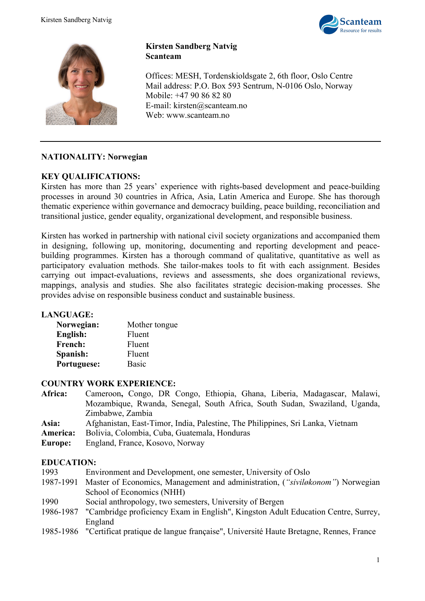



# **Kirsten Sandberg Natvig Scanteam**

Offices: MESH, Tordenskioldsgate 2, 6th floor, Oslo Centre Mail address: P.O. Box 593 Sentrum, N-0106 Oslo, Norway Mobile: +47 90 86 82 80 E-mail: kirsten@scanteam.no Web: www.scanteam.no

# **NATIONALITY: Norwegian**

#### **KEY QUALIFICATIONS:**

Kirsten has more than 25 years' experience with rights-based development and peace-building processes in around 30 countries in Africa, Asia, Latin America and Europe. She has thorough thematic experience within governance and democracy building, peace building, reconciliation and transitional justice, gender equality, organizational development, and responsible business.

Kirsten has worked in partnership with national civil society organizations and accompanied them in designing, following up, monitoring, documenting and reporting development and peacebuilding programmes. Kirsten has a thorough command of qualitative, quantitative as well as participatory evaluation methods. She tailor-makes tools to fit with each assignment. Besides carrying out impact-evaluations, reviews and assessments, she does organizational reviews, mappings, analysis and studies. She also facilitates strategic decision-making processes. She provides advise on responsible business conduct and sustainable business.

#### **LANGUAGE:**

| Mother tongue |
|---------------|
| Fluent        |
| Fluent        |
| Fluent        |
| <b>Basic</b>  |
|               |

#### **COUNTRY WORK EXPERIENCE:**

- **Africa:** Cameroon**,** Congo, DR Congo, Ethiopia, Ghana, Liberia, Madagascar, Malawi, Mozambique, Rwanda, Senegal, South Africa, South Sudan, Swaziland, Uganda, Zimbabwe, Zambia
- **Asia:** Afghanistan, East-Timor, India, Palestine, The Philippines, Sri Lanka, Vietnam
- **America:** Bolivia, Colombia, Cuba, Guatemala, Honduras
- **Europe:** England, France, Kosovo, Norway

#### **EDUCATION:**

- 1993 Environment and Development, one semester, University of Oslo 1987-1991 Master of Economics, Management and administration, (*"siviløkonom"*) Norwegian School of Economics (NHH)
- 1990 Social anthropology, two semesters, University of Bergen
- 1986-1987 "Cambridge proficiency Exam in English", Kingston Adult Education Centre, Surrey, England
- 1985-1986 "Certificat pratique de langue française", Université Haute Bretagne, Rennes, France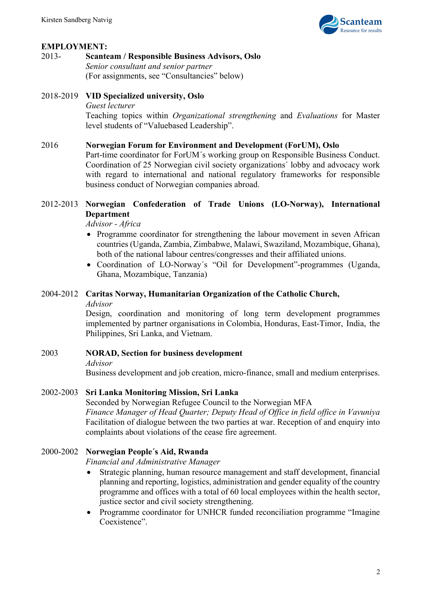

# **EMPLOYMENT:**

#### 2013- **Scanteam / Responsible Business Advisors, Oslo** *Senior consultant and senior partner*

(For assignments, see "Consultancies" below)

# 2018-2019 **VID Specialized university, Oslo**

#### *Guest lecturer*

Teaching topics within *Organizational strengthening* and *Evaluations* for Master level students of "Valuebased Leadership".

#### 2016 **Norwegian Forum for Environment and Development (ForUM), Oslo**

Part-time coordinator for ForUM´s working group on Responsible Business Conduct. Coordination of 25 Norwegian civil society organizations´ lobby and advocacy work with regard to international and national regulatory frameworks for responsible business conduct of Norwegian companies abroad.

# 2012-2013 **Norwegian Confederation of Trade Unions (LO-Norway), International Department**

*Advisor - Africa*

- Programme coordinator for strengthening the labour movement in seven African countries (Uganda, Zambia, Zimbabwe, Malawi, Swaziland, Mozambique, Ghana), both of the national labour centres/congresses and their affiliated unions.
- Coordination of LO-Norway´s "Oil for Development"-programmes (Uganda, Ghana, Mozambique, Tanzania)

# 2004-2012 **Caritas Norway, Humanitarian Organization of the Catholic Church,**

*Advisor*

Design, coordination and monitoring of long term development programmes implemented by partner organisations in Colombia, Honduras, East-Timor, India, the Philippines, Sri Lanka, and Vietnam.

#### 2003 **NORAD, Section for business development**

*Advisor*

Business development and job creation, micro-finance, small and medium enterprises.

#### 2002-2003 **Sri Lanka Monitoring Mission, Sri Lanka**

Seconded by Norwegian Refugee Council to the Norwegian MFA *Finance Manager of Head Quarter; Deputy Head of Office in field office in Vavuniya*  Facilitation of dialogue between the two parties at war. Reception of and enquiry into complaints about violations of the cease fire agreement.

#### 2000-2002 **Norwegian People´s Aid, Rwanda**

*Financial and Administrative Manager*

- Strategic planning, human resource management and staff development, financial planning and reporting, logistics, administration and gender equality of the country programme and offices with a total of 60 local employees within the health sector, justice sector and civil society strengthening.
- Programme coordinator for UNHCR funded reconciliation programme "Imagine Coexistence".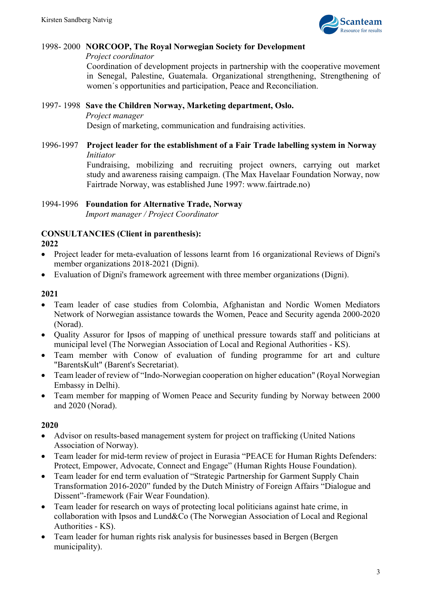

# 1998- 2000 **NORCOOP, The Royal Norwegian Society for Development**

*Project coordinator*

Coordination of development projects in partnership with the cooperative movement in Senegal, Palestine, Guatemala. Organizational strengthening, Strengthening of women´s opportunities and participation, Peace and Reconciliation.

1997- 1998 **Save the Children Norway, Marketing department, Oslo.**  *Project manager* Design of marketing, communication and fundraising activities.

1996-1997 **Project leader for the establishment of a Fair Trade labelling system in Norway** *Initiator*

Fundraising, mobilizing and recruiting project owners, carrying out market study and awareness raising campaign. (The Max Havelaar Foundation Norway, now Fairtrade Norway, was established June 1997: www.fairtrade.no)

# 1994-1996 **Foundation for Alternative Trade, Norway**

*Import manager / Project Coordinator*

# **CONSULTANCIES (Client in parenthesis): 2022**

- Project leader for meta-evaluation of lessons learnt from 16 organizational Reviews of Digni's member organizations 2018-2021 (Digni).
- Evaluation of Digni's framework agreement with three member organizations (Digni).

# **2021**

- Team leader of case studies from Colombia, Afghanistan and Nordic Women Mediators Network of Norwegian assistance towards the Women, Peace and Security agenda 2000-2020 (Norad).
- Quality Assuror for Ipsos of mapping of unethical pressure towards staff and politicians at municipal level (The Norwegian Association of Local and Regional Authorities - KS).
- Team member with Conow of evaluation of funding programme for art and culture "BarentsKult" (Barent's Secretariat).
- Team leader of review of "Indo-Norwegian cooperation on higher education" (Royal Norwegian Embassy in Delhi).
- Team member for mapping of Women Peace and Security funding by Norway between 2000 and 2020 (Norad).

# **2020**

- Advisor on results-based management system for project on trafficking (United Nations Association of Norway).
- Team leader for mid-term review of project in Eurasia "PEACE for Human Rights Defenders: Protect, Empower, Advocate, Connect and Engage" (Human Rights House Foundation).
- Team leader for end term evaluation of "Strategic Partnership for Garment Supply Chain Transformation 2016-2020" funded by the Dutch Ministry of Foreign Affairs "Dialogue and Dissent"-framework (Fair Wear Foundation).
- Team leader for research on ways of protecting local politicians against hate crime, in collaboration with Ipsos and Lund&Co (The Norwegian Association of Local and Regional Authorities - KS).
- Team leader for human rights risk analysis for businesses based in Bergen (Bergen) municipality).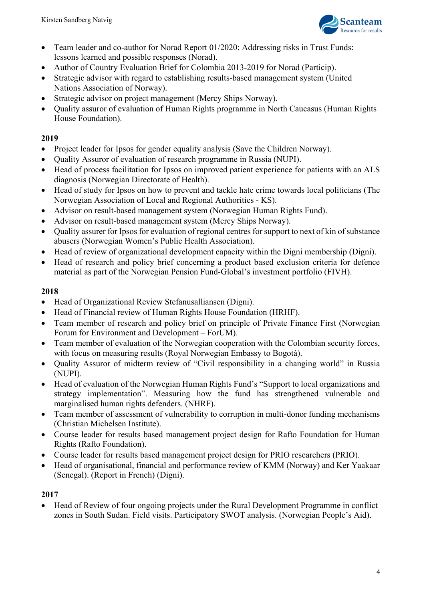

- Team leader and co-author for Norad Report 01/2020: Addressing risks in Trust Funds: lessons learned and possible responses (Norad).
- Author of Country Evaluation Brief for Colombia 2013-2019 for Norad (Particip).
- Strategic advisor with regard to establishing results-based management system (United Nations Association of Norway).
- Strategic advisor on project management (Mercy Ships Norway).
- Quality assuror of evaluation of Human Rights programme in North Caucasus (Human Rights House Foundation).

# **2019**

- Project leader for Ipsos for gender equality analysis (Save the Children Norway).
- Quality Assuror of evaluation of research programme in Russia (NUPI).
- Head of process facilitation for Ipsos on improved patient experience for patients with an ALS diagnosis (Norwegian Directorate of Health).
- Head of study for Ipsos on how to prevent and tackle hate crime towards local politicians (The Norwegian Association of Local and Regional Authorities - KS).
- Advisor on result-based management system (Norwegian Human Rights Fund).
- Advisor on result-based management system (Mercy Ships Norway).
- Quality assurer for Ipsos for evaluation of regional centres for support to next of kin of substance abusers (Norwegian Women's Public Health Association).
- Head of review of organizational development capacity within the Digni membership (Digni).
- Head of research and policy brief concerning a product based exclusion criteria for defence material as part of the Norwegian Pension Fund-Global's investment portfolio (FIVH).

# **2018**

- Head of Organizational Review Stefanusalliansen (Digni).
- Head of Financial review of Human Rights House Foundation (HRHF).
- Team member of research and policy brief on principle of Private Finance First (Norwegian Forum for Environment and Development – ForUM).
- Team member of evaluation of the Norwegian cooperation with the Colombian security forces, with focus on measuring results (Royal Norwegian Embassy to Bogotá).
- Quality Assuror of midterm review of "Civil responsibility in a changing world" in Russia (NUPI).
- Head of evaluation of the Norwegian Human Rights Fund's "Support to local organizations and strategy implementation". Measuring how the fund has strengthened vulnerable and marginalised human rights defenders. (NHRF).
- Team member of assessment of vulnerability to corruption in multi-donor funding mechanisms (Christian Michelsen Institute).
- Course leader for results based management project design for Rafto Foundation for Human Rights (Rafto Foundation).
- Course leader for results based management project design for PRIO researchers (PRIO).
- Head of organisational, financial and performance review of KMM (Norway) and Ker Yaakaar (Senegal). (Report in French) (Digni).

# **2017**

• Head of Review of four ongoing projects under the Rural Development Programme in conflict zones in South Sudan. Field visits. Participatory SWOT analysis. (Norwegian People's Aid).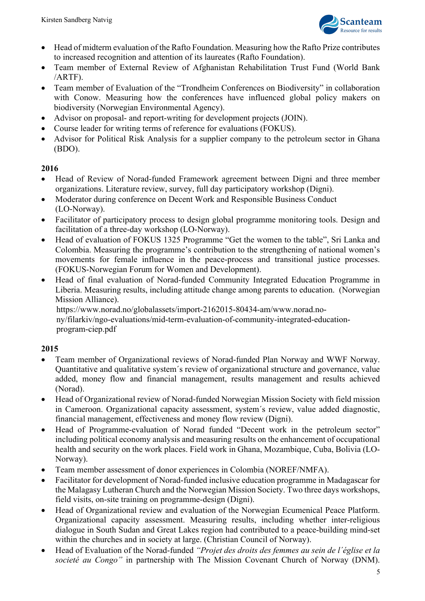

- Head of midterm evaluation of the Rafto Foundation. Measuring how the Rafto Prize contributes to increased recognition and attention of its laureates (Rafto Foundation).
- Team member of External Review of Afghanistan Rehabilitation Trust Fund (World Bank /ARTF).
- Team member of Evaluation of the "Trondheim Conferences on Biodiversity" in collaboration with Conow. Measuring how the conferences have influenced global policy makers on biodiversity (Norwegian Environmental Agency).
- Advisor on proposal- and report-writing for development projects (JOIN).
- Course leader for writing terms of reference for evaluations (FOKUS).
- Advisor for Political Risk Analysis for a supplier company to the petroleum sector in Ghana (BDO).

# **2016**

- Head of Review of Norad-funded Framework agreement between Digni and three member organizations. Literature review, survey, full day participatory workshop (Digni).
- Moderator during conference on Decent Work and Responsible Business Conduct (LO-Norway).
- Facilitator of participatory process to design global programme monitoring tools. Design and facilitation of a three-day workshop (LO-Norway).
- Head of evaluation of FOKUS 1325 Programme "Get the women to the table", Sri Lanka and Colombia. Measuring the programme's contribution to the strengthening of national women's movements for female influence in the peace-process and transitional justice processes. (FOKUS-Norwegian Forum for Women and Development).
- Head of final evaluation of Norad-funded Community Integrated Education Programme in Liberia. Measuring results, including attitude change among parents to education. (Norwegian Mission Alliance).

https://www.norad.no/globalassets/import-2162015-80434-am/www.norad.no-

ny/filarkiv/ngo-evaluations/mid-term-evaluation-of-community-integrated-educationprogram-ciep.pdf

#### **2015**

- Team member of Organizational reviews of Norad-funded Plan Norway and WWF Norway. Quantitative and qualitative system´s review of organizational structure and governance, value added, money flow and financial management, results management and results achieved (Norad).
- Head of Organizational review of Norad-funded Norwegian Mission Society with field mission in Cameroon. Organizational capacity assessment, system´s review, value added diagnostic, financial management, effectiveness and money flow review (Digni).
- Head of Programme-evaluation of Norad funded "Decent work in the petroleum sector" including political economy analysis and measuring results on the enhancement of occupational health and security on the work places. Field work in Ghana, Mozambique, Cuba, Bolivia (LO-Norway).
- Team member assessment of donor experiences in Colombia (NOREF/NMFA).
- Facilitator for development of Norad-funded inclusive education programme in Madagascar for the Malagasy Lutheran Church and the Norwegian Mission Society. Two three days workshops, field visits, on-site training on programme-design (Digni).
- Head of Organizational review and evaluation of the Norwegian Ecumenical Peace Platform. Organizational capacity assessment. Measuring results, including whether inter-religious dialogue in South Sudan and Great Lakes region had contributed to a peace-building mind-set within the churches and in society at large. (Christian Council of Norway).
- Head of Evaluation of the Norad-funded *"Projet des droits des femmes au sein de l´église et la societé au Congo"* in partnership with The Mission Covenant Church of Norway (DNM).